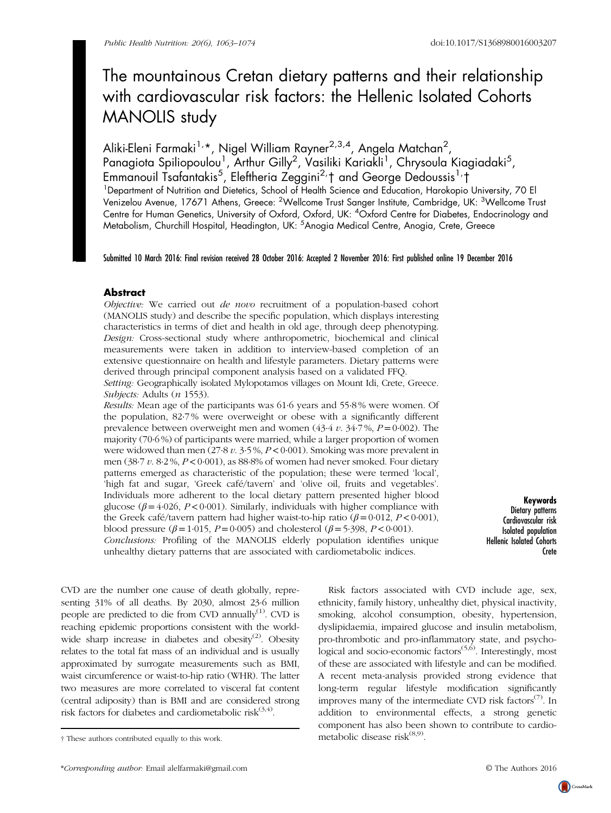# The mountainous Cretan dietary patterns and their relationship with cardiovascular risk factors: the Hellenic Isolated Cohorts MANOLIS study

Aliki-Eleni Farmaki<sup>1,</sup>\*, Nigel William Rayner<sup>2,3,4</sup>, Angela Matchan<sup>2</sup>, Panagiota Spiliopoulou<sup>1</sup>, Arthur Gilly<sup>2</sup>, Vasiliki Kariakli<sup>1</sup>, Chrysoula Kiagiadaki<sup>5</sup>, Emmanouil Tsafantakis<sup>5</sup>, Eleftheria Zeggini<sup>2,</sup>† and George Dedoussis<sup>1,</sup>† <sup>1</sup>Department of Nutrition and Dietetics, School of Health Science and Education, Harokopio University, 70 El Venizelou Avenue, 17671 Athens, Greece: <sup>2</sup>Wellcome Trust Sanger Institute, Cambridge, UK: <sup>3</sup>Wellcome Trust Centre for Human Genetics, University of Oxford, Oxford, UK: <sup>4</sup> Oxford Centre for Diabetes, Endocrinology and Metabolism, Churchill Hospital, Headington, UK: <sup>5</sup>Anogia Medical Centre, Anogia, Crete, Greece

Submitted 10 March 2016: Final revision received 28 October 2016: Accepted 2 November 2016: First published online 19 December 2016

# **Abstract**

Objective: We carried out de novo recruitment of a population-based cohort (MANOLIS study) and describe the specific population, which displays interesting characteristics in terms of diet and health in old age, through deep phenotyping. Design: Cross-sectional study where anthropometric, biochemical and clinical measurements were taken in addition to interview-based completion of an extensive questionnaire on health and lifestyle parameters. Dietary patterns were derived through principal component analysis based on a validated FFQ.

Setting: Geographically isolated Mylopotamos villages on Mount Idi, Crete, Greece. Subjects: Adults (n 1553).

Results: Mean age of the participants was 61·6 years and 55·8 % were women. Of the population, 82·7 % were overweight or obese with a significantly different prevalence between overweight men and women  $(43.4 \nu. 34.7\%, P=0.002)$ . The majority (70·6 %) of participants were married, while a larger proportion of women were widowed than men (27·8  $v$ . 3·5%,  $P < 0.001$ ). Smoking was more prevalent in men (38-7  $v$ . 8-2%,  $P < 0.001$ ), as 88-8% of women had never smoked. Four dietary patterns emerged as characteristic of the population; these were termed 'local', 'high fat and sugar, 'Greek café/tavern' and 'olive oil, fruits and vegetables'. Individuals more adherent to the local dietary pattern presented higher blood glucose ( $\beta$ =4·026, P<0·001). Similarly, individuals with higher compliance with the Greek café/tavern pattern had higher waist-to-hip ratio ( $\beta$ =0·012, P <0·001), blood pressure ( $\beta$ =1·015, P=0·005) and cholesterol ( $\beta$ =5·398, P<0·001). Conclusions: Profiling of the MANOLIS elderly population identifies unique unhealthy dietary patterns that are associated with cardiometabolic indices.

Keywords Dietary patterns Cardiovascular risk Isolated population Hellenic Isolated Cohorts Crete

CVD are the number one cause of death globally, representing 31% of all deaths. By 2030, almost 23·6 million people are predicted to die from CVD annually $^{(1)}$  $^{(1)}$  $^{(1)}$ . CVD is reaching epidemic proportions consistent with the world-wide sharp increase in diabetes and obesity<sup>([2](#page-10-0))</sup>. Obesity relates to the total fat mass of an individual and is usually approximated by surrogate measurements such as BMI, waist circumference or waist-to-hip ratio (WHR). The latter two measures are more correlated to visceral fat content (central adiposity) than is BMI and are considered strong risk factors for diabetes and cardiometabolic risk $(3,4)$  $(3,4)$  $(3,4)$  $(3,4)$  $(3,4)$ .

Risk factors associated with CVD include age, sex, ethnicity, family history, unhealthy diet, physical inactivity, smoking, alcohol consumption, obesity, hypertension, dyslipidaemia, impaired glucose and insulin metabolism, pro-thrombotic and pro-inflammatory state, and psycho-logical and socio-economic factors<sup>[\(5,6](#page-10-0))</sup>. Interestingly, most of these are associated with lifestyle and can be modified. A recent meta-analysis provided strong evidence that long-term regular lifestyle modification significantly improves many of the intermediate CVD risk factors<sup> $(7)$ </sup>. In addition to environmental effects, a strong genetic component has also been shown to contribute to cardio-<br>metabolic disease risk<sup>(8,9)</sup>.



 $\dagger$  These authors contributed equally to this work.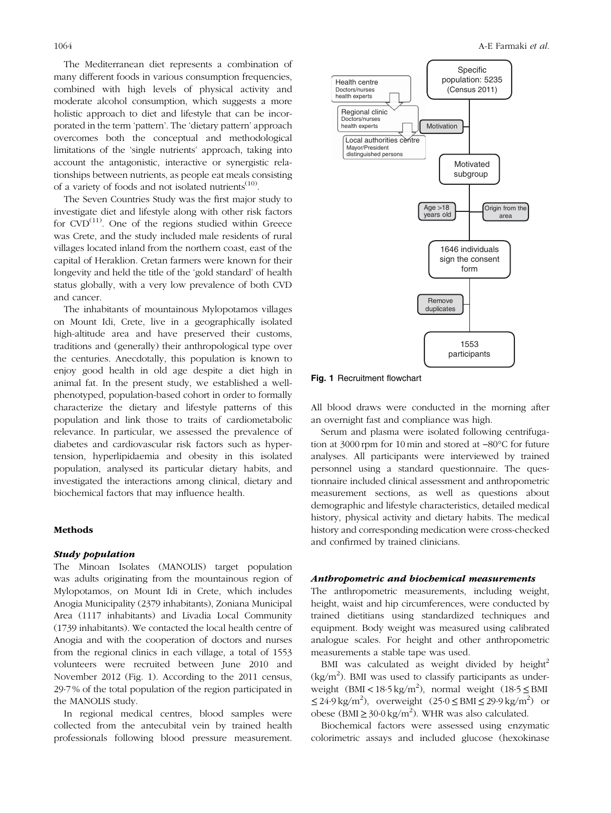The Mediterranean diet represents a combination of many different foods in various consumption frequencies, combined with high levels of physical activity and moderate alcohol consumption, which suggests a more

holistic approach to diet and lifestyle that can be incorporated in the term 'pattern'. The 'dietary pattern' approach overcomes both the conceptual and methodological limitations of the 'single nutrients' approach, taking into account the antagonistic, interactive or synergistic relationships between nutrients, as people eat meals consisting of a variety of foods and not isolated nutrients $(10)$  $(10)$ .

The Seven Countries Study was the first major study to investigate diet and lifestyle along with other risk factors for  $CVD^{(11)}$  $CVD^{(11)}$  $CVD^{(11)}$ . One of the regions studied within Greece was Crete, and the study included male residents of rural villages located inland from the northern coast, east of the capital of Heraklion. Cretan farmers were known for their longevity and held the title of the 'gold standard' of health status globally, with a very low prevalence of both CVD and cancer.

The inhabitants of mountainous Mylopotamos villages on Mount Idi, Crete, live in a geographically isolated high-altitude area and have preserved their customs, traditions and (generally) their anthropological type over the centuries. Anecdotally, this population is known to enjoy good health in old age despite a diet high in animal fat. In the present study, we established a wellphenotyped, population-based cohort in order to formally characterize the dietary and lifestyle patterns of this population and link those to traits of cardiometabolic relevance. In particular, we assessed the prevalence of diabetes and cardiovascular risk factors such as hypertension, hyperlipidaemia and obesity in this isolated population, analysed its particular dietary habits, and investigated the interactions among clinical, dietary and biochemical factors that may influence health.

# Methods

#### Study population

The Minoan Isolates (MANOLIS) target population was adults originating from the mountainous region of Mylopotamos, on Mount Idi in Crete, which includes Anogia Municipality (2379 inhabitants), Zoniana Municipal Area (1117 inhabitants) and Livadia Local Community (1739 inhabitants). We contacted the local health centre of Anogia and with the cooperation of doctors and nurses from the regional clinics in each village, a total of 1553 volunteers were recruited between June 2010 and November 2012 (Fig. 1). According to the 2011 census, 29·7 % of the total population of the region participated in the MANOLIS study.

In regional medical centres, blood samples were collected from the antecubital vein by trained health professionals following blood pressure measurement.



Fig. 1 Recruitment flowchart

All blood draws were conducted in the morning after an overnight fast and compliance was high.

Serum and plasma were isolated following centrifugation at 3000 rpm for 10 min and stored at −80°C for future analyses. All participants were interviewed by trained personnel using a standard questionnaire. The questionnaire included clinical assessment and anthropometric measurement sections, as well as questions about demographic and lifestyle characteristics, detailed medical history, physical activity and dietary habits. The medical history and corresponding medication were cross-checked and confirmed by trained clinicians.

#### Anthropometric and biochemical measurements

The anthropometric measurements, including weight, height, waist and hip circumferences, were conducted by trained dietitians using standardized techniques and equipment. Body weight was measured using calibrated analogue scales. For height and other anthropometric measurements a stable tape was used.

BMI was calculated as weight divided by height<sup>2</sup>  $\frac{\text{kg}}{\text{m}^2}$ ). BMI was used to classify participants as underweight  $(BMI < 18.5 \text{ kg/m}^2)$ , normal weight  $(18.5 \leq BMI)$  $\leq$  24.9 kg/m<sup>2</sup>), overweight  $(25.0 \leq$  BMI  $\leq$  29.9 kg/m<sup>2</sup>) or obese (BMI ≥ 30 $\cdot$ 0 kg/m<sup>2</sup>). WHR was also calculated.

Biochemical factors were assessed using enzymatic colorimetric assays and included glucose (hexokinase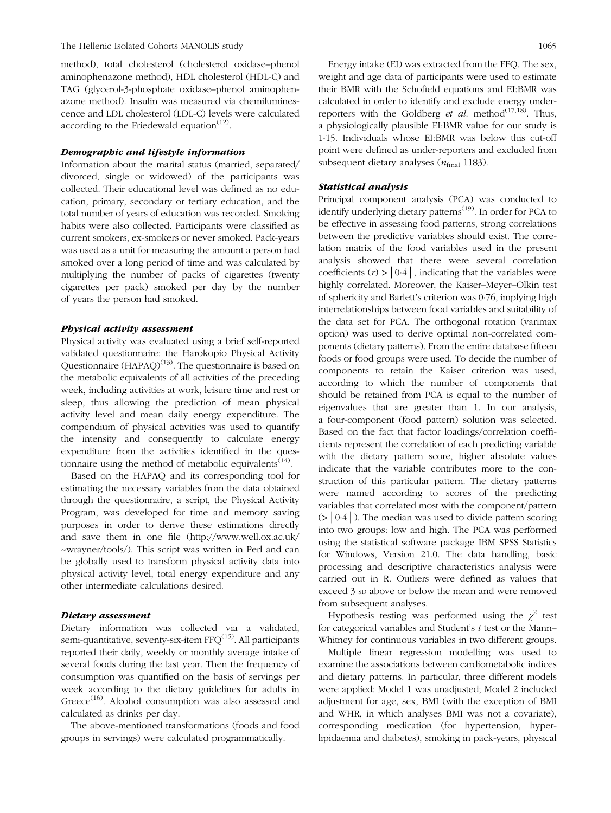#### The Hellenic Isolated Cohorts MANOLIS study 1065

method), total cholesterol (cholesterol oxidase–phenol aminophenazone method), HDL cholesterol (HDL-C) and TAG (glycerol-3-phosphate oxidase–phenol aminophenazone method). Insulin was measured via chemiluminescence and LDL cholesterol (LDL-C) levels were calculated according to the Friedewald equation $(12)$  $(12)$ .

# Demographic and lifestyle information

Information about the marital status (married, separated/ divorced, single or widowed) of the participants was collected. Their educational level was defined as no education, primary, secondary or tertiary education, and the total number of years of education was recorded. Smoking habits were also collected. Participants were classified as current smokers, ex-smokers or never smoked. Pack-years was used as a unit for measuring the amount a person had smoked over a long period of time and was calculated by multiplying the number of packs of cigarettes (twenty cigarettes per pack) smoked per day by the number of years the person had smoked.

## Physical activity assessment

Physical activity was evaluated using a brief self-reported validated questionnaire: the Harokopio Physical Activity Questionnaire (HAPAQ) $^{(13)}$  $^{(13)}$  $^{(13)}$ . The questionnaire is based on the metabolic equivalents of all activities of the preceding week, including activities at work, leisure time and rest or sleep, thus allowing the prediction of mean physical activity level and mean daily energy expenditure. The compendium of physical activities was used to quantify the intensity and consequently to calculate energy expenditure from the activities identified in the questionnaire using the method of metabolic equivalents<sup> $(14)$  $(14)$ </sup>.

Based on the HAPAQ and its corresponding tool for estimating the necessary variables from the data obtained through the questionnaire, a script, the Physical Activity Program, was developed for time and memory saving purposes in order to derive these estimations directly and save them in one file [\(http://www.well.ox.ac.uk/](http://www.well.ox.ac.uk/~wrayner/tools/) [~wrayner/tools/](http://www.well.ox.ac.uk/~wrayner/tools/)). This script was written in Perl and can be globally used to transform physical activity data into physical activity level, total energy expenditure and any other intermediate calculations desired.

# Dietary assessment

Dietary information was collected via a validated, semi-quantitative, seventy-six-item FFQ<sup>([15\)](#page-10-0)</sup>. All participants reported their daily, weekly or monthly average intake of several foods during the last year. Then the frequency of consumption was quantified on the basis of servings per week according to the dietary guidelines for adults in Greece $^{(16)}$  $^{(16)}$  $^{(16)}$ . Alcohol consumption was also assessed and calculated as drinks per day.

The above-mentioned transformations (foods and food groups in servings) were calculated programmatically.

Energy intake (EI) was extracted from the FFQ. The sex, weight and age data of participants were used to estimate their BMR with the Schofield equations and EI:BMR was calculated in order to identify and exclude energy underreporters with the Goldberg *et al.* method<sup> $(17,18)$  $(17,18)$ </sup>. Thus, a physiologically plausible EI:BMR value for our study is 1·15. Individuals whose EI:BMR was below this cut-off point were defined as under-reporters and excluded from subsequent dietary analyses ( $n_{final}$  1183).

# Statistical analysis

Principal component analysis (PCA) was conducted to identify underlying dietary patterns<sup>([19\)](#page-10-0)</sup>. In order for PCA to be effective in assessing food patterns, strong correlations between the predictive variables should exist. The correlation matrix of the food variables used in the present analysis showed that there were several correlation coefficients  $(r) > |0.4|$ , indicating that the variables were highly correlated. Moreover, the Kaiser–Meyer–Olkin test of sphericity and Barlett's criterion was 0·76, implying high interrelationships between food variables and suitability of the data set for PCA. The orthogonal rotation (varimax option) was used to derive optimal non-correlated components (dietary patterns). From the entire database fifteen foods or food groups were used. To decide the number of components to retain the Kaiser criterion was used, according to which the number of components that should be retained from PCA is equal to the number of eigenvalues that are greater than 1. In our analysis, a four-component (food pattern) solution was selected. Based on the fact that factor loadings/correlation coefficients represent the correlation of each predicting variable with the dietary pattern score, higher absolute values indicate that the variable contributes more to the construction of this particular pattern. The dietary patterns were named according to scores of the predicting variables that correlated most with the component/pattern  $(>|0.4|)$ . The median was used to divide pattern scoring into two groups: low and high. The PCA was performed using the statistical software package IBM SPSS Statistics for Windows, Version 21.0. The data handling, basic processing and descriptive characteristics analysis were carried out in R. Outliers were defined as values that exceed 3 sp above or below the mean and were removed from subsequent analyses.

Hypothesis testing was performed using the  $\chi^2$  test for categorical variables and Student's t test or the Mann– Whitney for continuous variables in two different groups.

Multiple linear regression modelling was used to examine the associations between cardiometabolic indices and dietary patterns. In particular, three different models were applied: Model 1 was unadjusted; Model 2 included adjustment for age, sex, BMI (with the exception of BMI and WHR, in which analyses BMI was not a covariate), corresponding medication (for hypertension, hyperlipidaemia and diabetes), smoking in pack-years, physical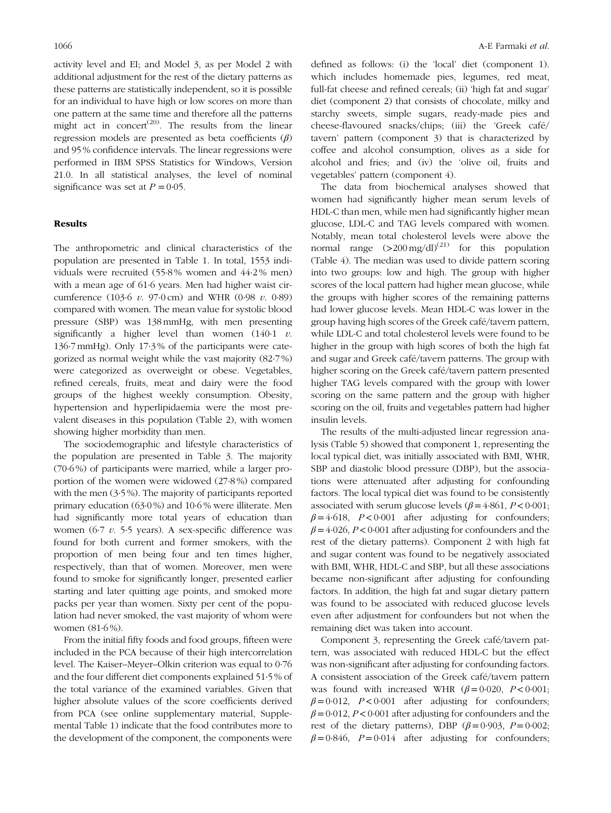activity level and EI; and Model 3, as per Model 2 with additional adjustment for the rest of the dietary patterns as these patterns are statistically independent, so it is possible for an individual to have high or low scores on more than one pattern at the same time and therefore all the patterns might act in concert<sup>([20\)](#page-10-0)</sup>. The results from the linear regression models are presented as beta coefficients (β) and 95 % confidence intervals. The linear regressions were performed in IBM SPSS Statistics for Windows, Version 21.0. In all statistical analyses, the level of nominal significance was set at  $P = 0.05$ .

# Results

The anthropometric and clinical characteristics of the population are presented in [Table 1](#page-4-0). In total, 1553 individuals were recruited (55·8 % women and 44·2 % men) with a mean age of 61·6 years. Men had higher waist circumference (103.6  $v$ . 97.0 cm) and WHR (0.98  $v$ . 0.89) compared with women. The mean value for systolic blood pressure (SBP) was 138 mmHg, with men presenting significantly a higher level than women  $(140.1 \text{ } v.$ 136·7 mmHg). Only 17·3 % of the participants were categorized as normal weight while the vast majority (82·7 %) were categorized as overweight or obese. Vegetables, refined cereals, fruits, meat and dairy were the food groups of the highest weekly consumption. Obesity, hypertension and hyperlipidaemia were the most prevalent diseases in this population ([Table 2\)](#page-5-0), with women showing higher morbidity than men.

The sociodemographic and lifestyle characteristics of the population are presented in [Table 3.](#page-5-0) The majority (70·6 %) of participants were married, while a larger proportion of the women were widowed (27·8 %) compared with the men  $(3.5\%)$ . The majority of participants reported primary education (63·0 %) and 10·6 % were illiterate. Men had significantly more total years of education than women (6·7 v. 5·5 years). A sex-specific difference was found for both current and former smokers, with the proportion of men being four and ten times higher, respectively, than that of women. Moreover, men were found to smoke for significantly longer, presented earlier starting and later quitting age points, and smoked more packs per year than women. Sixty per cent of the population had never smoked, the vast majority of whom were women (81.6%).

From the initial fifty foods and food groups, fifteen were included in the PCA because of their high intercorrelation level. The Kaiser–Meyer–Olkin criterion was equal to 0·76 and the four different diet components explained 51·5 % of the total variance of the examined variables. Given that higher absolute values of the score coefficients derived from PCA (see online supplementary material, Supplemental Table 1) indicate that the food contributes more to the development of the component, the components were

defined as follows: (i) the 'local' diet (component 1). which includes homemade pies, legumes, red meat, full-fat cheese and refined cereals; (ii) 'high fat and sugar' diet (component 2) that consists of chocolate, milky and starchy sweets, simple sugars, ready-made pies and cheese-flavoured snacks/chips; (iii) the 'Greek café/ tavern' pattern (component 3) that is characterized by coffee and alcohol consumption, olives as a side for alcohol and fries; and (iv) the 'olive oil, fruits and vegetables' pattern (component 4).

The data from biochemical analyses showed that women had significantly higher mean serum levels of HDL-C than men, while men had significantly higher mean glucose, LDL-C and TAG levels compared with women. Notably, mean total cholesterol levels were above the normal range  $(>200 \text{ mg/dl})^{(21)}$  $(>200 \text{ mg/dl})^{(21)}$  $(>200 \text{ mg/dl})^{(21)}$  for this population ([Table 4\)](#page-6-0). The median was used to divide pattern scoring into two groups: low and high. The group with higher scores of the local pattern had higher mean glucose, while the groups with higher scores of the remaining patterns had lower glucose levels. Mean HDL-C was lower in the group having high scores of the Greek café/tavern pattern, while LDL-C and total cholesterol levels were found to be higher in the group with high scores of both the high fat and sugar and Greek café/tavern patterns. The group with higher scoring on the Greek café/tavern pattern presented higher TAG levels compared with the group with lower scoring on the same pattern and the group with higher scoring on the oil, fruits and vegetables pattern had higher insulin levels.

The results of the multi-adjusted linear regression analysis [\(Table 5\)](#page-7-0) showed that component 1, representing the local typical diet, was initially associated with BMI, WHR, SBP and diastolic blood pressure (DBP), but the associations were attenuated after adjusting for confounding factors. The local typical diet was found to be consistently associated with serum glucose levels ( $\beta$  = 4·861, P < 0·001;  $\beta = 4.618$ ,  $P < 0.001$  after adjusting for confounders;  $\beta$  = 4.026, P < 0.001 after adjusting for confounders and the rest of the dietary patterns). Component 2 with high fat and sugar content was found to be negatively associated with BMI, WHR, HDL-C and SBP, but all these associations became non-significant after adjusting for confounding factors. In addition, the high fat and sugar dietary pattern was found to be associated with reduced glucose levels even after adjustment for confounders but not when the remaining diet was taken into account.

Component 3, representing the Greek café/tavern pattern, was associated with reduced HDL-C but the effect was non-significant after adjusting for confounding factors. A consistent association of the Greek café/tavern pattern was found with increased WHR  $(\beta = 0.020, P < 0.001)$ ;  $\beta = 0.012$ ,  $P < 0.001$  after adjusting for confounders;  $\beta$  = 0·012, P < 0·001 after adjusting for confounders and the rest of the dietary patterns), DBP  $(\beta = 0.903, P = 0.002;$  $\beta = 0.846$ ,  $P = 0.014$  after adjusting for confounders;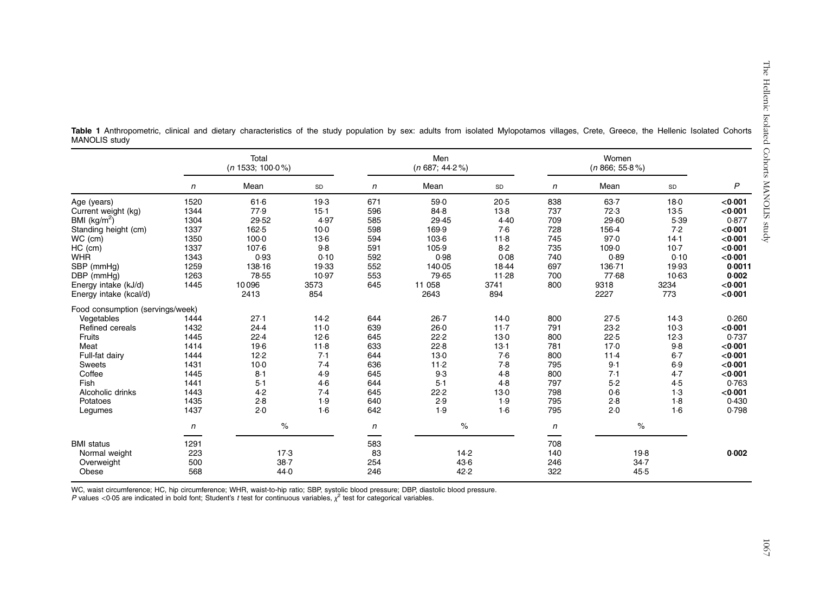|                                  |      | Total<br>$(n 1533; 100.0\%)$ |        |     | Men<br>$(n 687; 44.2\%)$ |        |                  | Women<br>$(n 866; 55.8\%)$ |         |              |
|----------------------------------|------|------------------------------|--------|-----|--------------------------|--------|------------------|----------------------------|---------|--------------|
|                                  | n    | Mean                         | SD     | n   | Mean                     | SD     | n                | Mean                       | SD      | $\mathsf{P}$ |
| Age (years)                      | 1520 | 61.6                         | 19.3   | 671 | 59.0                     | 20.5   | 838              | 63.7                       | 18.0    | < 0.001      |
| Current weight (kg)              | 1344 | 77.9                         | 15.1   | 596 | 84.8                     | $13-8$ | 737              | 72.3                       | 13.5    | < 0.001      |
| BMI ( $kg/m2$ )                  | 1304 | 29.52                        | 4.97   | 585 | 29.45                    | 4.40   | 709              | 29.60                      | 5.39    | 0.877        |
| Standing height (cm)             | 1337 | 162.5                        | $10-0$ | 598 | 169.9                    | 7.6    | 728              | 156.4                      | 7.2     | < 0.001      |
| WC (cm)                          | 1350 | $100 - 0$                    | $13-6$ | 594 | 103.6                    | 11.8   | 745              | 97.0                       | 14.1    | < 0.001      |
| HC (cm)                          | 1337 | 107.6                        | 9.8    | 591 | 105.9                    | 8.2    | 735              | 109.0                      | $10-7$  | < 0.001      |
| <b>WHR</b>                       | 1343 | 0.93                         | 0.10   | 592 | 0.98                     | 0.08   | 740              | 0.89                       | 0.10    | < 0.001      |
| SBP (mmHq)                       | 1259 | 138.16                       | 19.33  | 552 | 140.05                   | 18.44  | 697              | 136.71                     | 19.93   | 0.0011       |
| DBP (mmHg)                       | 1263 | 78.55                        | 10.97  | 553 | 79.65                    | 11.28  | 700              | 77.68                      | 10.63   | 0.002        |
| Energy intake (kJ/d)             | 1445 | 10096                        | 3573   | 645 | 11 058                   | 3741   | 800              | 9318                       | 3234    | < 0.001      |
| Energy intake (kcal/d)           |      | 2413                         | 854    |     | 2643                     | 894    |                  | 2227                       | 773     | < 0.001      |
| Food consumption (servings/week) |      |                              |        |     |                          |        |                  |                            |         |              |
| Vegetables                       | 1444 | 27.1                         | 14.2   | 644 | $26 - 7$                 | 14.0   | 800              | 27.5                       | 14.3    | 0.260        |
| Refined cereals                  | 1432 | 24.4                         | 11.0   | 639 | 26.0                     | $11-7$ | 791              | 23.2                       | $10-3$  | < 0.001      |
| Fruits                           | 1445 | 22.4                         | 12.6   | 645 | 22.2                     | 13.0   | 800              | 22.5                       | 12.3    | 0.737        |
| Meat                             | 1414 | 19.6                         | 11.8   | 633 | 22.8                     | 13.1   | 781              | 17.0                       | 9.8     | < 0.001      |
| Full-fat dairy                   | 1444 | 12.2                         | 7.1    | 644 | 13.0                     | 7.6    | 800              | 11.4                       | $6 - 7$ | < 0.001      |
| Sweets                           | 1431 | $10-0$                       | 7.4    | 636 | 11.2                     | 7.8    | 795              | 9.1                        | 6.9     | < 0.001      |
| Coffee                           | 1445 | 8.1                          | 4.9    | 645 | 9.3                      | 4.8    | 800              | 7.1                        | 4.7     | < 0.001      |
| Fish                             | 1441 | $5-1$                        | $4-6$  | 644 | $5-1$                    | 4.8    | 797              | $5-2$                      | 4.5     | 0.763        |
| Alcoholic drinks                 | 1443 | 4.2                          | 7.4    | 645 | 22.2                     | 13.0   | 798              | 0.6                        | 1.3     | < 0.001      |
| Potatoes                         | 1435 | 2.8                          | 1.9    | 640 | 2.9                      | 1.9    | 795              | 2.8                        | 1.8     | 0.430        |
| Legumes                          | 1437 | 2.0                          | 1·6    | 642 | 1.9                      | 1·6    | 795              | 2.0                        | 1·6     | 0.798        |
|                                  | n    | $\%$                         |        | n   | $\%$                     |        | $\boldsymbol{n}$ |                            | $\%$    |              |
| <b>BMI</b> status                | 1291 |                              |        | 583 |                          |        | 708              |                            |         |              |
| Normal weight                    | 223  | 17.3                         |        | 83  | 14.2                     |        | 140              |                            | 19.8    | 0.002        |
| Overweight                       | 500  | 38.7                         |        | 254 | 43.6                     |        | 246              |                            | 34.7    |              |
| Obese                            | 568  | 44.0                         |        | 246 | 42.2                     |        | 322              |                            | 45.5    |              |
|                                  |      |                              |        |     |                          |        |                  |                            |         |              |

<span id="page-4-0"></span>Table 1 Anthropometric, clinical and dietary characteristics of the study population by sex: adults from isolated Mylopotamos villages, Crete, Greece, the Hellenic Isolated Cohorts MANOLIS study

WC, waist circumference; HC, hip circumference; WHR, waist-to-hip ratio; SBP, systolic blood pressure; DBP, diastolic blood pressure.

P values <0.05 are indicated in bold font; Student's t test for continuous variables,  $\chi^2$  test for categorical variables.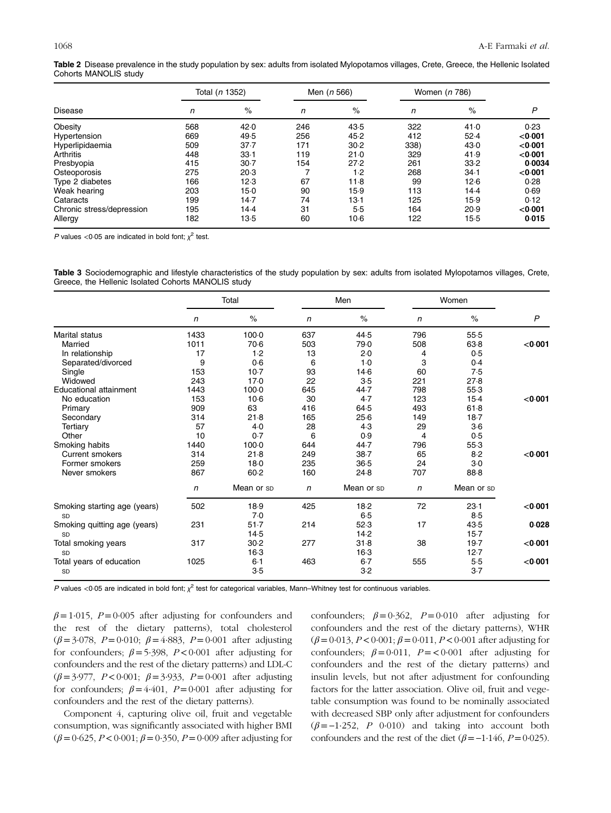<span id="page-5-0"></span>

| Table 2 Disease prevalence in the study population by sex: adults from isolated Mylopotamos villages, Crete, Greece, the Hellenic Isolated |  |  |  |
|--------------------------------------------------------------------------------------------------------------------------------------------|--|--|--|
| Cohorts MANOLIS study                                                                                                                      |  |  |  |

|                           |     | Total (n 1352) |     | Men (n 566) |      | Women (n 786) |                   |
|---------------------------|-----|----------------|-----|-------------|------|---------------|-------------------|
| <b>Disease</b>            | n   | $\%$           | n   | $\%$        | n    | $\%$          | $\mathsf{P}$      |
| Obesity                   | 568 | 42.0           | 246 | 43.5        | 322  | 41.0          | 0.23              |
| Hypertension              | 669 | 49.5           | 256 | 45.2        | 412  | 52.4          | $<$ 0 $\cdot$ 001 |
| Hyperlipidaemia           | 509 | $37 - 7$       | 171 | 30.2        | 338) | 43.0          | $<$ 0 $\cdot$ 001 |
| Arthritis                 | 448 | 33.1           | 119 | 21.0        | 329  | 41.9          | < 0.001           |
| Presbyopia                | 415 | $30-7$         | 154 | 27.2        | 261  | 33.2          | 0.0034            |
| Osteoporosis              | 275 | 20.3           |     | 1.2         | 268  | 34.1          | < 0.001           |
| Type 2 diabetes           | 166 | 12.3           | 67  | 11.8        | 99   | 12.6          | 0.28              |
| Weak hearing              | 203 | $15-0$         | 90  | 15.9        | 113  | 14.4          | 0.69              |
| Cataracts                 | 199 | 14.7           | 74  | 13.1        | 125  | 15.9          | 0.12              |
| Chronic stress/depression | 195 | 14.4           | 31  | 5.5         | 164  | 20.9          | < 0.001           |
| Allergy                   | 182 | 13.5           | 60  | $10-6$      | 122  | $15-5$        | 0.015             |

P values <0.05 are indicated in bold font;  $\chi^2$  test.

Table 3 Sociodemographic and lifestyle characteristics of the study population by sex: adults from isolated Mylopotamos villages, Crete, Greece, the Hellenic Isolated Cohorts MANOLIS study

|                               |              | Total      |              | Men        |     | Women      |              |
|-------------------------------|--------------|------------|--------------|------------|-----|------------|--------------|
|                               | $\mathsf{n}$ | $\%$       | $\mathsf{n}$ | $\%$       | n   | $\%$       | $\mathsf{P}$ |
| <b>Marital status</b>         | 1433         | 100.0      | 637          | 44.5       | 796 | $55-5$     |              |
| Married                       | 1011         | $70-6$     | 503          | 79.0       | 508 | 63.8       | < 0.001      |
| In relationship               | 17           | 1.2        | 13           | 2.0        | 4   | 0.5        |              |
| Separated/divorced            | 9            | 0.6        | 6            | $1-0$      | 3   | 0.4        |              |
| Single                        | 153          | $10-7$     | 93           | $14-6$     | 60  | 7.5        |              |
| Widowed                       | 243          | 17.0       | 22           | 3.5        | 221 | 27.8       |              |
| <b>Educational attainment</b> | 1443         | $100-0$    | 645          | 44.7       | 798 | 55.3       |              |
| No education                  | 153          | $10-6$     | 30           | 4.7        | 123 | $15-4$     | < 0.001      |
| Primary                       | 909          | 63         | 416          | 64.5       | 493 | 61.8       |              |
| Secondary                     | 314          | 21.8       | 165          | 25.6       | 149 | 18.7       |              |
| Tertiary                      | 57           | 4.0        | 28           | 4.3        | 29  | $3-6$      |              |
| Other                         | 10           | 0.7        | 6            | 0.9        | 4   | 0.5        |              |
| Smoking habits                | 1440         | 100.0      | 644          | 44.7       | 796 | 55.3       |              |
| <b>Current smokers</b>        | 314          | 21.8       | 249          | 38.7       | 65  | 8.2        | < 0.001      |
| Former smokers                | 259          | 18.0       | 235          | 36.5       | 24  | $3-0$      |              |
| Never smokers                 | 867          | 60.2       | 160          | 24.8       | 707 | 88.8       |              |
|                               | n            | Mean or sp | $\mathsf{n}$ | Mean or sp | n   | Mean or sp |              |
| Smoking starting age (years)  | 502          | 18.9       | 425          | 18.2       | 72  | 23.1       | < 0.001      |
| <b>SD</b>                     |              | 7.0        |              | 6.5        |     | 8.5        |              |
| Smoking quitting age (years)  | 231          | $51-7$     | 214          | 52.3       | 17  | 43.5       | 0.028        |
| SD                            |              | 14.5       |              | 14.2       |     | $15-7$     |              |
| Total smoking years           | 317          | 30.2       | 277          | 31.8       | 38  | 19.7       | < 0.001      |
| SD                            |              | $16-3$     |              | $16-3$     |     | 12.7       |              |
| Total years of education      | 1025         | $6-1$      | 463          | $6 - 7$    | 555 | 5.5        | < 0.001      |
| SD                            |              | 3.5        |              | $3-2$      |     | $3-7$      |              |

P values <0.05 are indicated in bold font;  $\chi^2$  test for categorical variables, Mann–Whitney test for continuous variables.

 $\beta$  = 1.015, P = 0.005 after adjusting for confounders and the rest of the dietary patterns), total cholesterol ( $\beta$ =3·078, P=0·010;  $\beta$ =4·883, P=0·001 after adjusting for confounders;  $\beta = 5.398$ ,  $P < 0.001$  after adjusting for confounders and the rest of the dietary patterns) and LDL-C ( $\beta$ =3.977, P<0.001;  $\beta$ =3.933, P=0.001 after adjusting for confounders;  $\beta = 4.401$ ,  $P = 0.001$  after adjusting for confounders and the rest of the dietary patterns).

Component 4, capturing olive oil, fruit and vegetable consumption, was significantly associated with higher BMI  $(\beta = 0.625, P < 0.001; \beta = 0.350, P = 0.009$  after adjusting for confounders;  $\beta = 0.362$ ,  $P = 0.010$  after adjusting for confounders and the rest of the dietary patterns), WHR  $(\beta = 0.013, P < 0.001; \beta = 0.011, P < 0.001$  after adjusting for confounders;  $\beta = 0.011$ ,  $P = < 0.001$  after adjusting for confounders and the rest of the dietary patterns) and insulin levels, but not after adjustment for confounding factors for the latter association. Olive oil, fruit and vegetable consumption was found to be nominally associated with decreased SBP only after adjustment for confounders  $(\beta = -1.252, P \space 0.010)$  and taking into account both confounders and the rest of the diet ( $\beta$ =−1·146, P=0·025).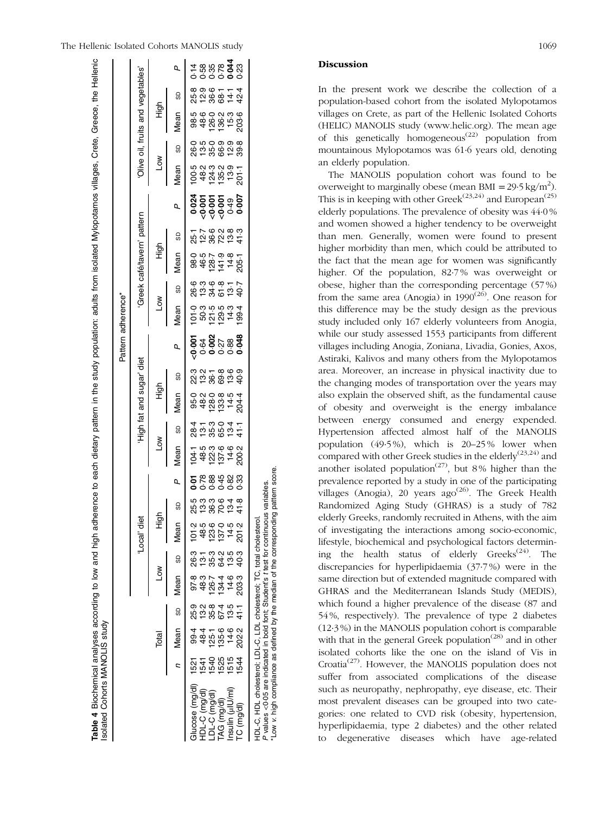# <span id="page-6-0"></span>The Hellenic Isolated Cohorts MANOLIS study 1069

| Table 4 Biochemical analyses according to low and high adherence to each dietary pattern in the study population: adults from isolated Mylopotamos villages, Crete, Greece, the Hellenic<br><b>Isolated Cohorts MANOLIS study</b>                                                                                                                |                                        |                                                     |                                              |                                                 |                                                     |                                          |              |                                          |      |                |                                                   |                        |                                                                                                                                                                        |      |                                           |                            |                        |         |                                                        |    |                                   |                                   |   |
|--------------------------------------------------------------------------------------------------------------------------------------------------------------------------------------------------------------------------------------------------------------------------------------------------------------------------------------------------|----------------------------------------|-----------------------------------------------------|----------------------------------------------|-------------------------------------------------|-----------------------------------------------------|------------------------------------------|--------------|------------------------------------------|------|----------------|---------------------------------------------------|------------------------|------------------------------------------------------------------------------------------------------------------------------------------------------------------------|------|-------------------------------------------|----------------------------|------------------------|---------|--------------------------------------------------------|----|-----------------------------------|-----------------------------------|---|
|                                                                                                                                                                                                                                                                                                                                                  |                                        |                                                     |                                              |                                                 |                                                     |                                          |              |                                          |      |                |                                                   |                        | Pattern adherence*                                                                                                                                                     |      |                                           |                            |                        |         |                                                        |    |                                   |                                   |   |
|                                                                                                                                                                                                                                                                                                                                                  |                                        |                                                     |                                              |                                                 |                                                     | 'Local' diet                             |              |                                          |      |                | High fat and sugar' diet                          |                        |                                                                                                                                                                        |      |                                           | Greek café/tavern' pattern |                        |         |                                                        |    | Olive oil, fruits and vegetables' |                                   |   |
|                                                                                                                                                                                                                                                                                                                                                  |                                        | Total                                               |                                              | ŠΩ                                              |                                                     | High                                     |              |                                          | No∫  |                | High                                              |                        |                                                                                                                                                                        | ŠΟ   |                                           | High                       |                        |         | $\sum_{i=1}^{\infty}$                                  |    | High                              |                                   |   |
|                                                                                                                                                                                                                                                                                                                                                  |                                        | Mean                                                | SD                                           | Mean                                            | SD                                                  | Mean                                     | SD           | ۹                                        | Mean | SD             | Mean                                              | SD                     | Q                                                                                                                                                                      | Mean | SD                                        | Mean                       | SD                     | Q       | Mean                                                   | SD | Mean                              | SD                                | p |
| "Low v. high compliance as defined by the median of the corresponding pattern score.<br>HDL-C. HDL cholesterol: LDL-C. LDL cholesterol: TC. total cholesterol.<br>P values <0.05 are indicated in bold font: Student's t test for continuou<br>Glucose (ma/dl)<br>Insulin (µlU/ml)<br>HDL-C (mg/dl)<br>DL-C (mg/dl)<br>[AG (mg/dl)<br>[C (mg/dl) | 525<br>515<br>540<br>544<br>521<br>541 | 99.4<br>135-6<br>202.2<br>14.6<br>48.4<br>$125 - 1$ | 25.9<br>35.8<br>67.4<br>13.5<br>13.2<br>41.1 | 97.8<br>48.3<br>14.6<br>203.3<br>134.4<br>126.7 | 26.3<br>2<br>64.2<br>13.5<br>35.3<br>40.3<br>$13-1$ | 101.2<br>48.5<br>123.6<br>137.0<br>201.2 | s variables. | <b>P</b> & & & & &<br><b>P</b> & & & & & |      | ターとり4180かいのです。 | 0 3 4 5 6 7 7 9<br>0 8 8 9 7 4 9<br>0 9 9 9 9 9 9 | 321869<br>2000000 4000 | $\frac{2}{3}$<br>$\frac{2}{3}$<br>$\frac{3}{3}$<br>$\frac{3}{3}$<br>$\frac{3}{3}$<br>$\frac{3}{3}$<br>$\frac{3}{3}$<br>$\frac{3}{3}$<br>$\frac{3}{3}$<br>$\frac{3}{3}$ |      | 6 9 9 9 9 1<br>6 9 4 9 9 9<br>6 9 9 9 9 9 |                            | カンの283<br>センタンの<br>ユーフ | 8555995 | មិន វី ដូ ដូ ដូ ដូ<br>កំពុង វី ដូ ដូ ដូ<br>កំពុង ទី ដី |    |                                   | 218814<br>89811 <del>4</del> 8818 |   |

Discussion

In the present work we describe the collection of a population-based cohort from the isolated Mylopotamos villages on Crete, as part of the Hellenic Isolated Cohorts (HELIC) MANOLIS study ([www.helic.org\)](www.helic.org). The mean age of this genetically homogeneous<sup> $(22)$  $(22)$ </sup> population from mountainous Mylopotamos was 61·6 years old, denoting an elderly population.

The MANOLIS population cohort was found to be overweight to marginally obese (mean BMI =  $29.5 \text{ kg/m}^2$ ). This is in keeping with other Greek<sup> $(23,24)$  $(23,24)$ </sup> and European<sup> $(25)$  $(25)$ </sup> elderly populations. The prevalence of obesity was 44·0 % and women showed a higher tendency to be overweight than men. Generally, women were found to present higher morbidity than men, which could be attributed to the fact that the mean age for women was significantly higher. Of the population, 82.7% was overweight or obese, higher than the corresponding percentage (57 %) from the same area (Anogia) in  $1990^{(26)}$  $1990^{(26)}$  $1990^{(26)}$ . One reason for this difference may be the study design as the previous study included only 167 elderly volunteers from Anogia, while our study assessed 1553 participants from different villages including Anogia, Zoniana, Livadia, Gonies, Axos, Astiraki, Kalivos and many others from the Mylopotamos area. Moreover, an increase in physical inactivity due to the changing modes of transportation over the years may also explain the observed shift, as the fundamental cause of obesity and overweight is the energy imbalance between energy consumed and energy expended. Hypertension affected almost half of the MANOLIS population (49·5 %), which is 20–25 % lower when compared with other Greek studies in the elderly<sup>[\(23](#page-10-0),[24](#page-10-0))</sup> and another isolated population<sup> $(27)$  $(27)$ </sup>, but 8% higher than the prevalence reported by a study in one of the participating villages (Anogia), 20 years  $ago^{(26)}$  $ago^{(26)}$  $ago^{(26)}$ . The Greek Health Randomized Aging Study (GHRAS) is a study of 782 elderly Greeks, randomly recruited in Athens, with the aim of investigating the interactions among socio-economic, lifestyle, biochemical and psychological factors determining the health status of elderly Greeks<sup> $(24)$  $(24)$  $(24)$ </sup>. The discrepancies for hyperlipidaemia (37·7 %) were in the same direction but of extended magnitude compared with GHRAS and the Mediterranean Islands Study (MEDIS), which found a higher prevalence of the disease (87 and 54 %, respectively). The prevalence of type 2 diabetes (12·3 %) in the MANOLIS population cohort is comparable with that in the general Greek population<sup>([28\)](#page-10-0)</sup> and in other isolated cohorts like the one on the island of Vis in Croatia[\(27](#page-10-0)). However, the MANOLIS population does not suffer from associated complications of the disease such as neuropathy, nephropathy, eye disease, etc. Their most prevalent diseases can be grouped into two categories: one related to CVD risk (obesity, hypertension, hyperlipidaemia, type 2 diabetes) and the other related to degenerative diseases which have age-related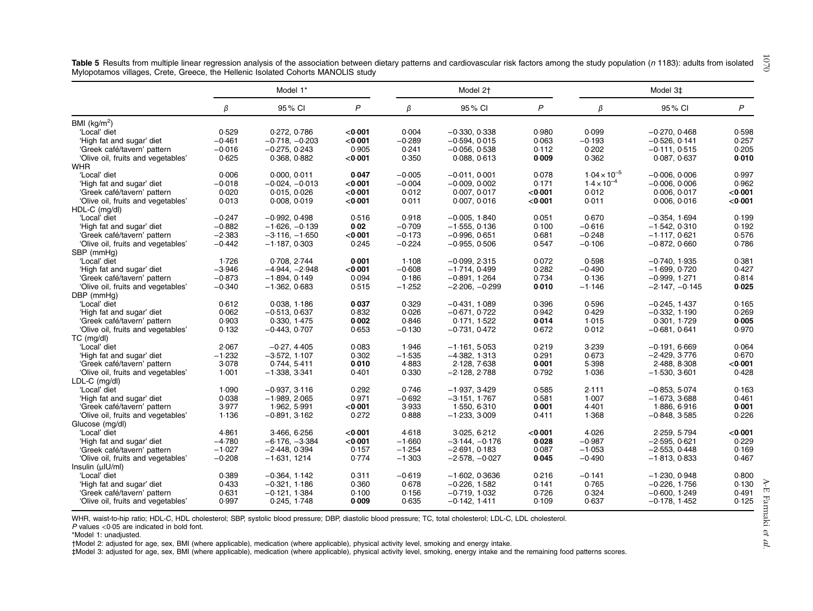|                                    |          | Model 1*         |                   |          | Model 2 <sup>+</sup> |                   |                       | Model 3‡         |              |
|------------------------------------|----------|------------------|-------------------|----------|----------------------|-------------------|-----------------------|------------------|--------------|
|                                    | β        | 95 % CI          | P                 | β        | 95 % CI              | P                 | β                     | 95 % CI          | $\mathsf{P}$ |
| BMI $(kg/m2)$                      |          |                  |                   |          |                      |                   |                       |                  |              |
| 'Local' diet                       | 0.529    | 0.272, 0.786     | $<$ 0 $\cdot$ 001 | 0.004    | $-0.330, 0.338$      | 0.980             | 0.099                 | $-0.270, 0.468$  | 0.598        |
| 'High fat and sugar' diet          | $-0.461$ | $-0.718, -0.203$ | < 0.001           | $-0.289$ | $-0.594, 0.015$      | 0.063             | $-0.193$              | $-0.526, 0.141$  | 0.257        |
| 'Greek café/tavern' pattern        | $-0.016$ | $-0.275, 0.243$  | 0.905             | 0.241    | $-0.056, 0.538$      | 0.112             | 0.202                 | $-0.111, 0.515$  | 0.205        |
| 'Olive oil, fruits and vegetables' | 0.625    | 0.368, 0.882     | < 0.001           | 0.350    | 0.088, 0.613         | 0.009             | 0.362                 | 0.087, 0.637     | 0.010        |
| <b>WHR</b>                         |          |                  |                   |          |                      |                   |                       |                  |              |
| 'Local' diet                       | 0.006    | 0.000.0011       | 0.047             | $-0.005$ | $-0.011.0.001$       | 0.078             | $1.04 \times 10^{-5}$ | $-0.006, 0.006$  | 0.997        |
| 'High fat and sugar' diet          | $-0.018$ | $-0.024, -0.013$ | < 0.001           | $-0.004$ | $-0.009, 0.002$      | 0.171             | $1.4 \times 10^{-4}$  | $-0.006, 0.006$  | 0.962        |
| 'Greek café/tavern' pattern        | 0.020    | 0.015, 0.026     | < 0.001           | 0.012    | 0.007, 0.017         | < 0.001           | 0.012                 | 0.006, 0.017     | < 0.001      |
| 'Olive oil, fruits and vegetables' | 0.013    | 0.008, 0.019     | < 0.001           | 0.011    | 0.007, 0.016         | < 0.001           | 0.011                 | 0.006, 0.016     | < 0.001      |
| HDL-C (mg/dl)                      |          |                  |                   |          |                      |                   |                       |                  |              |
| 'Local' diet                       | $-0.247$ | $-0.992, 0.498$  | 0.516             | 0.918    | $-0.005, 1.840$      | 0.051             | 0.670                 | $-0.354, 1.694$  | 0.199        |
| 'High fat and sugar' diet          | $-0.882$ | $-1.626, -0.139$ | 0.02              | $-0.709$ | $-1.555, 0.136$      | 0.100             | $-0.616$              | $-1.542, 0.310$  | 0.192        |
| 'Greek café/tavern' pattern        | $-2.383$ | $-3.116, -1.650$ | < 0.001           | $-0.173$ | $-0.996, 0.651$      | 0.681             | $-0.248$              | $-1.117, 0.621$  | 0.576        |
| 'Olive oil, fruits and vegetables' | $-0.442$ | $-1.187, 0.303$  | 0.245             | $-0.224$ | $-0.955, 0.506$      | 0.547             | $-0.106$              | $-0.872, 0.660$  | 0.786        |
| SBP (mmHg)                         |          |                  |                   |          |                      |                   |                       |                  |              |
| 'Local' diet                       | 1.726    | 0.708.2.744      | 0.001             | 1.108    | $-0.099, 2.315$      | 0.072             | 0.598                 | $-0.740.1935$    | 0.381        |
| 'High fat and sugar' diet          | $-3.946$ | $-4.944, -2.948$ | < 0.001           | $-0.608$ | $-1.714, 0.499$      | 0.282             | $-0.490$              | $-1.699, 0.720$  | 0.427        |
| 'Greek café/tavern' pattern        | $-0.873$ | $-1.894, 0.149$  | 0.094             | 0.186    | $-0.891, 1.264$      | 0.734             | 0.136                 | $-0.999, 1.271$  | 0.814        |
| 'Olive oil, fruits and vegetables' | $-0.340$ | $-1.362, 0.683$  | 0.515             | $-1.252$ | $-2.206, -0.299$     | 0.010             | $-1.146$              | $-2.147, -0.145$ | 0.025        |
| DBP (mmHg)                         |          |                  |                   |          |                      |                   |                       |                  |              |
| 'Local' diet                       | 0.612    | 0.038, 1.186     | 0.037             | 0.329    | $-0.431, 1.089$      | 0.396             | 0.596                 | $-0.245, 1.437$  | 0.165        |
| 'High fat and sugar' diet          | 0.062    | $-0.513, 0.637$  | 0.832             | 0.026    | $-0.671, 0.722$      | 0.942             | 0.429                 | $-0.332, 1.190$  | 0.269        |
| 'Greek café/tavern' pattern        | 0.903    | 0.330, 1.475     | 0.002             | 0.846    | 0.171, 1.522         | 0.014             | 1.015                 | 0.301, 1.729     | 0.005        |
| 'Olive oil, fruits and vegetables' | 0.132    | $-0.443, 0.707$  | 0.653             | $-0.130$ | $-0.731, 0.472$      | 0.672             | 0.012                 | $-0.681, 0.641$  | 0.970        |
| TC (mg/dl)                         |          |                  |                   |          |                      |                   |                       |                  |              |
| 'Local' diet                       | 2.067    | $-0.27, 4.405$   | 0.083             | 1.946    | $-1.161, 5.053$      | 0.219             | 3.239                 | $-0.191, 6.669$  | 0.064        |
| 'High fat and sugar' diet          | $-1.232$ | $-3.572, 1.107$  | 0.302             | $-1.535$ | $-4.382, 1.313$      | 0.291             | 0.673                 | $-2.429, 3.776$  | 0.670        |
| 'Greek café/tavern' pattern        | 3.078    | 0.744, 5.411     | 0.010             | 4.883    | 2.128, 7.638         | 0.001             | 5.398                 | 2.488, 8.308     | < 0.001      |
| 'Olive oil, fruits and vegetables' | 1.001    | $-1.338, 3.341$  | 0.401             | 0.330    | $-2.128, 2.788$      | 0.792             | 1.036                 | $-1.530, 3.601$  | 0.428        |
| LDL-C (mg/dl)                      |          |                  |                   |          |                      |                   |                       |                  |              |
| 'Local' diet                       | 1.090    | $-0.937, 3.116$  | 0.292             | 0.746    | $-1.937, 3.429$      | 0.585             | 2.111                 | $-0.853, 5.074$  | 0.163        |
| 'High fat and sugar' diet          | 0.038    | $-1.989, 2.065$  | 0.971             | $-0.692$ | $-3.151, 1.767$      | 0.581             | 1.007                 | $-1.673, 3.688$  | 0.461        |
| 'Greek café/tavern' pattern        | 3.977    | 1.962, 5.991     | < 0.001           | 3.933    | 1.550, 6.310         | 0.001             | 4.401                 | 1.886, 6.916     | 0.001        |
| 'Olive oil, fruits and vegetables' | 1.136    | $-0.891, 3.162$  | 0.272             | 0.888    | $-1.233, 3.009$      | 0.411             | 1.368                 | $-0.848, 3.585$  | 0.226        |
| Glucose (mg/dl)                    |          |                  |                   |          |                      |                   |                       |                  |              |
| 'Local' diet                       | 4.861    | 3.466, 6.256     | < 0.001           | 4.618    | 3.025, 6.212         | $<$ 0 $\cdot$ 001 | 4.026                 | 2.259, 5.794     | $<$ 0.001    |
| 'High fat and sugar' diet          | $-4.780$ | $-6.176, -3.384$ | < 0.001           | $-1.660$ | $-3.144, -0.176$     | 0.028             | $-0.987$              | $-2.595, 0.621$  | 0.229        |
| 'Greek café/tavern' pattern        | $-1.027$ | $-2.448, 0.394$  | 0.157             | $-1.254$ | $-2.691, 0.183$      | 0.087             | $-1.053$              | $-2.553, 0.448$  | 0.169        |
| 'Olive oil, fruits and vegetables' | $-0.208$ | $-1.631, 1214$   | 0.774             | $-1.303$ | $-2.578, -0.027$     | 0.045             | $-0.490$              | $-1.813, 0.833$  | 0.467        |
| Insulin $(\mu U/m)$                |          |                  |                   |          |                      |                   |                       |                  |              |
| 'Local' diet                       | 0.389    | $-0.364, 1.142$  | 0.311             | $-0.619$ | $-1.602, 0.3636$     | 0.216             | $-0.141$              | $-1.230, 0.948$  | 0.800        |
| 'High fat and sugar' diet          | 0.433    | $-0.321, 1.186$  | 0.360             | 0.678    | $-0.226, 1.582$      | 0.141             | 0.765                 | $-0.226, 1.756$  | 0.130        |
| 'Greek café/tavern' pattern        | 0.631    | $-0.121, 1.384$  | 0.100             | 0.156    | $-0.719, 1.032$      | 0.726             | 0.324                 | $-0.600, 1.249$  | 0.491        |
| 'Olive oil, fruits and vegetables' | 0.997    | 0.245, 1.748     | 0.009             | 0.635    | $-0.142, 1.411$      | 0.109             | 0.637                 | $-0.178, 1.452$  | 0.125        |

<span id="page-7-0"></span>Table 5 Results from multiple linear regression analysis of the association between dietary patterns and cardiovascular risk factors among the study population (n 1183): adults from isolated Mylopotamos villages, Crete, Greece, the Hellenic Isolated Cohorts MANOLIS study 1070

WHR, waist-to-hip ratio; HDL-C, HDL cholesterol; SBP, systolic blood pressure; DBP, diastolic blood pressure; TC, total cholesterol; LDL-C, LDL cholesterol.

P values <sup>&</sup>lt;0·05 are indicated in bold font.

\*Model 1: unadjusted.

†Model 2: adjusted for age, sex, BMI (where applicable), medication (where applicable), physical activity level, smoking and energy intake.

‡Model 3: adjusted for age, sex, BMI (where applicable), medication (where applicable), physical activity level, smoking, energy intake and the remaining food patterns scores.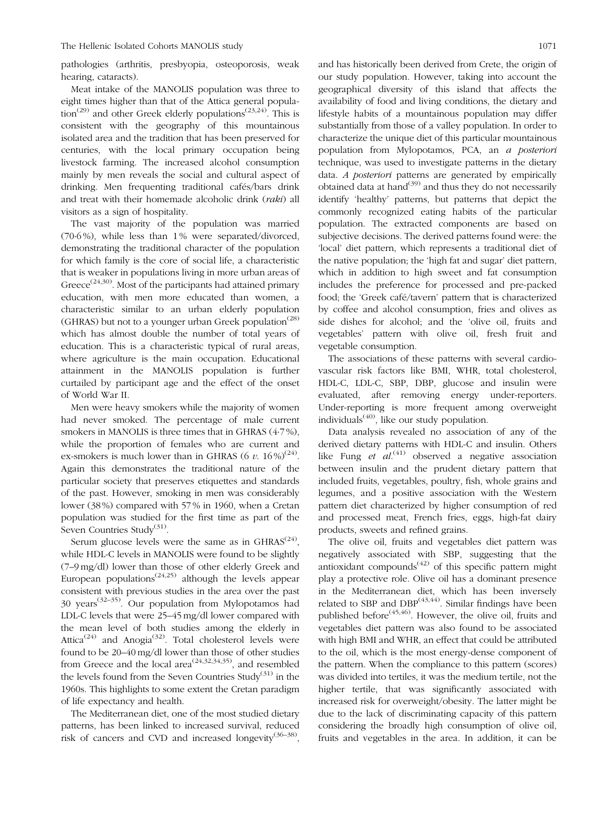pathologies (arthritis, presbyopia, osteoporosis, weak hearing, cataracts).

Meat intake of the MANOLIS population was three to eight times higher than that of the Attica general popula-tion<sup>[\(29\)](#page-11-0)</sup> and other Greek elderly populations<sup>([23,24](#page-10-0))</sup>. This is consistent with the geography of this mountainous isolated area and the tradition that has been preserved for centuries, with the local primary occupation being livestock farming. The increased alcohol consumption mainly by men reveals the social and cultural aspect of drinking. Men frequenting traditional cafés/bars drink and treat with their homemade alcoholic drink (raki) all visitors as a sign of hospitality.

The vast majority of the population was married (70·6 %), while less than 1 % were separated/divorced, demonstrating the traditional character of the population for which family is the core of social life, a characteristic that is weaker in populations living in more urban areas of Greece<sup> $(24,30)$  $(24,30)$  $(24,30)$ </sup>. Most of the participants had attained primary education, with men more educated than women, a characteristic similar to an urban elderly population (GHRAS) but not to a younger urban Greek population<sup>[\(28](#page-10-0))</sup> which has almost double the number of total years of education. This is a characteristic typical of rural areas, where agriculture is the main occupation. Educational attainment in the MANOLIS population is further curtailed by participant age and the effect of the onset of World War II.

Men were heavy smokers while the majority of women had never smoked. The percentage of male current smokers in MANOLIS is three times that in GHRAS (4·7 %), while the proportion of females who are current and ex-smokers is much lower than in GHRAS (6 v. 16%)<sup>([24](#page-10-0))</sup>. Again this demonstrates the traditional nature of the particular society that preserves etiquettes and standards of the past. However, smoking in men was considerably lower (38 %) compared with 57 % in 1960, when a Cretan population was studied for the first time as part of the Seven Countries Study<sup>([31\)](#page-11-0)</sup>.

Serum glucose levels were the same as in  $GHRAS^{(24)}$  $GHRAS^{(24)}$  $GHRAS^{(24)}$ , while HDL-C levels in MANOLIS were found to be slightly (7–9 mg/dl) lower than those of other elderly Greek and European populations<sup> $(24,25)$  $(24,25)$  $(24,25)$ </sup> although the levels appear consistent with previous studies in the area over the past 30 years[\(32](#page-11-0)–[35](#page-11-0)). Our population from Mylopotamos had LDL-C levels that were 25–45 mg/dl lower compared with the mean level of both studies among the elderly in Attica<sup>[\(24\)](#page-10-0)</sup> and Anogia<sup>([32](#page-11-0))</sup>. Total cholesterol levels were found to be 20–40 mg/dl lower than those of other studies from Greece and the local area<sup> $(24,32,34,35)$  $(24,32,34,35)$  $(24,32,34,35)$  $(24,32,34,35)$ </sup>, and resembled the levels found from the Seven Countries Study<sup>([31\)](#page-11-0)</sup> in the 1960s. This highlights to some extent the Cretan paradigm of life expectancy and health.

The Mediterranean diet, one of the most studied dietary patterns, has been linked to increased survival, reduced risk of cancers and CVD and increased longevity<sup>[\(36](#page-11-0)–[38](#page-11-0))</sup>, and has historically been derived from Crete, the origin of our study population. However, taking into account the geographical diversity of this island that affects the availability of food and living conditions, the dietary and lifestyle habits of a mountainous population may differ substantially from those of a valley population. In order to characterize the unique diet of this particular mountainous population from Mylopotamos, PCA, an a posteriori technique, was used to investigate patterns in the dietary data. A posteriori patterns are generated by empirically obtained data at hand $(39)$  and thus they do not necessarily identify 'healthy' patterns, but patterns that depict the commonly recognized eating habits of the particular population. The extracted components are based on subjective decisions. The derived patterns found were: the 'local' diet pattern, which represents a traditional diet of the native population; the 'high fat and sugar' diet pattern, which in addition to high sweet and fat consumption includes the preference for processed and pre-packed food; the 'Greek café/tavern' pattern that is characterized by coffee and alcohol consumption, fries and olives as side dishes for alcohol; and the 'olive oil, fruits and vegetables' pattern with olive oil, fresh fruit and vegetable consumption.

The associations of these patterns with several cardiovascular risk factors like BMI, WHR, total cholesterol, HDL-C, LDL-C, SBP, DBP, glucose and insulin were evaluated, after removing energy under-reporters. Under-reporting is more frequent among overweight individuals $^{(40)}$  $^{(40)}$  $^{(40)}$ , like our study population.

Data analysis revealed no association of any of the derived dietary patterns with HDL-C and insulin. Others like Fung *et al*.<sup>([41\)](#page-11-0)</sup> observed a negative association between insulin and the prudent dietary pattern that included fruits, vegetables, poultry, fish, whole grains and legumes, and a positive association with the Western pattern diet characterized by higher consumption of red and processed meat, French fries, eggs, high-fat dairy products, sweets and refined grains.

The olive oil, fruits and vegetables diet pattern was negatively associated with SBP, suggesting that the antioxidant compounds<sup> $(42)$  $(42)$ </sup> of this specific pattern might play a protective role. Olive oil has a dominant presence in the Mediterranean diet, which has been inversely related to SBP and DBP<sup>([43,44](#page-11-0))</sup>. Similar findings have been published before([45,46\)](#page-11-0). However, the olive oil, fruits and vegetables diet pattern was also found to be associated with high BMI and WHR, an effect that could be attributed to the oil, which is the most energy-dense component of the pattern. When the compliance to this pattern (scores) was divided into tertiles, it was the medium tertile, not the higher tertile, that was significantly associated with increased risk for overweight/obesity. The latter might be due to the lack of discriminating capacity of this pattern considering the broadly high consumption of olive oil, fruits and vegetables in the area. In addition, it can be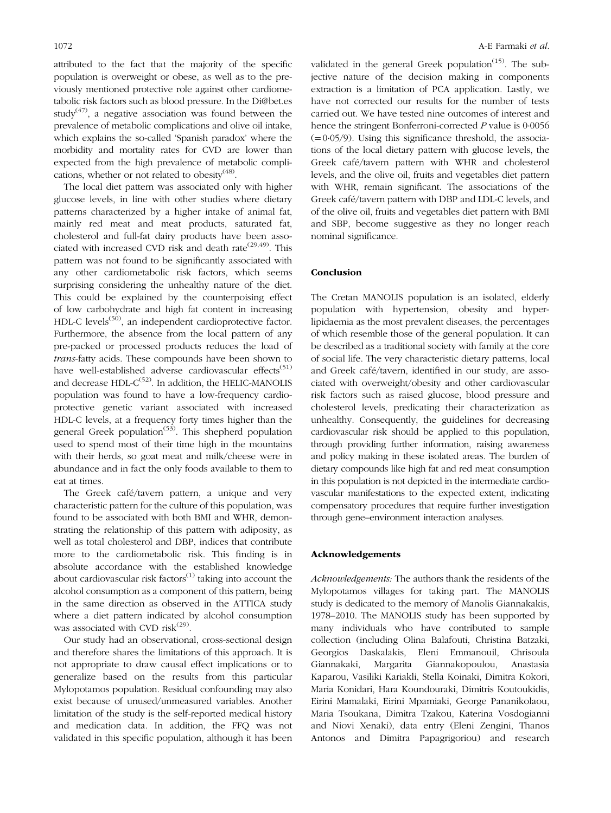attributed to the fact that the majority of the specific population is overweight or obese, as well as to the previously mentioned protective role against other cardiometabolic risk factors such as blood pressure. In the Di@bet.es study<sup>[\(47\)](#page-11-0)</sup>, a negative association was found between the prevalence of metabolic complications and olive oil intake, which explains the so-called 'Spanish paradox' where the morbidity and mortality rates for CVD are lower than expected from the high prevalence of metabolic complications, whether or not related to obesity<sup> $(48)$  $(48)$ </sup>.

The local diet pattern was associated only with higher glucose levels, in line with other studies where dietary patterns characterized by a higher intake of animal fat, mainly red meat and meat products, saturated fat, cholesterol and full-fat dairy products have been asso-ciated with increased CVD risk and death rate<sup>([29,49\)](#page-11-0)</sup>. This pattern was not found to be significantly associated with any other cardiometabolic risk factors, which seems surprising considering the unhealthy nature of the diet. This could be explained by the counterpoising effect of low carbohydrate and high fat content in increasing HDL-C levels<sup>([50\)](#page-11-0)</sup>, an independent cardioprotective factor. Furthermore, the absence from the local pattern of any pre-packed or processed products reduces the load of trans-fatty acids. These compounds have been shown to have well-established adverse cardiovascular effects<sup>[\(51](#page-11-0))</sup> and decrease  $HDL-C^{(52)}$  $HDL-C^{(52)}$  $HDL-C^{(52)}$ . In addition, the HELIC-MANOLIS population was found to have a low-frequency cardioprotective genetic variant associated with increased HDL-C levels, at a frequency forty times higher than the general Greek population<sup> $(53)$  $(53)$ </sup>. This shepherd population used to spend most of their time high in the mountains with their herds, so goat meat and milk/cheese were in abundance and in fact the only foods available to them to eat at times.

The Greek café/tavern pattern, a unique and very characteristic pattern for the culture of this population, was found to be associated with both BMI and WHR, demonstrating the relationship of this pattern with adiposity, as well as total cholesterol and DBP, indices that contribute more to the cardiometabolic risk. This finding is in absolute accordance with the established knowledge about cardiovascular risk factors $^{(1)}$  $^{(1)}$  $^{(1)}$  taking into account the alcohol consumption as a component of this pattern, being in the same direction as observed in the ATTICA study where a diet pattern indicated by alcohol consumption was associated with CVD risk $^{(29)}$  $^{(29)}$  $^{(29)}$ .

Our study had an observational, cross-sectional design and therefore shares the limitations of this approach. It is not appropriate to draw causal effect implications or to generalize based on the results from this particular Mylopotamos population. Residual confounding may also exist because of unused/unmeasured variables. Another limitation of the study is the self-reported medical history and medication data. In addition, the FFQ was not validated in this specific population, although it has been validated in the general Greek population $(15)$  $(15)$ . The subjective nature of the decision making in components extraction is a limitation of PCA application. Lastly, we have not corrected our results for the number of tests carried out. We have tested nine outcomes of interest and hence the stringent Bonferroni-corrected P value is 0·0056  $(=0.05/9)$ . Using this significance threshold, the associations of the local dietary pattern with glucose levels, the Greek café/tavern pattern with WHR and cholesterol levels, and the olive oil, fruits and vegetables diet pattern with WHR, remain significant. The associations of the Greek café/tavern pattern with DBP and LDL-C levels, and of the olive oil, fruits and vegetables diet pattern with BMI and SBP, become suggestive as they no longer reach nominal significance.

## Conclusion

The Cretan MANOLIS population is an isolated, elderly population with hypertension, obesity and hyperlipidaemia as the most prevalent diseases, the percentages of which resemble those of the general population. It can be described as a traditional society with family at the core of social life. The very characteristic dietary patterns, local and Greek café/tavern, identified in our study, are associated with overweight/obesity and other cardiovascular risk factors such as raised glucose, blood pressure and cholesterol levels, predicating their characterization as unhealthy. Consequently, the guidelines for decreasing cardiovascular risk should be applied to this population, through providing further information, raising awareness and policy making in these isolated areas. The burden of dietary compounds like high fat and red meat consumption in this population is not depicted in the intermediate cardiovascular manifestations to the expected extent, indicating compensatory procedures that require further investigation through gene–environment interaction analyses.

#### Acknowledgements

Acknowledgements: The authors thank the residents of the Mylopotamos villages for taking part. The MANOLIS study is dedicated to the memory of Manolis Giannakakis, 1978–2010. The MANOLIS study has been supported by many individuals who have contributed to sample collection (including Olina Balafouti, Christina Batzaki, Georgios Daskalakis, Eleni Emmanouil, Chrisoula Giannakaki, Margarita Giannakopoulou, Anastasia Kaparou, Vasiliki Kariakli, Stella Koinaki, Dimitra Kokori, Maria Konidari, Hara Koundouraki, Dimitris Koutoukidis, Eirini Mamalaki, Eirini Mpamiaki, George Pananikolaou, Maria Tsoukana, Dimitra Tzakou, Katerina Vosdogianni and Niovi Xenaki), data entry (Eleni Zengini, Thanos Antonos and Dimitra Papagrigoriou) and research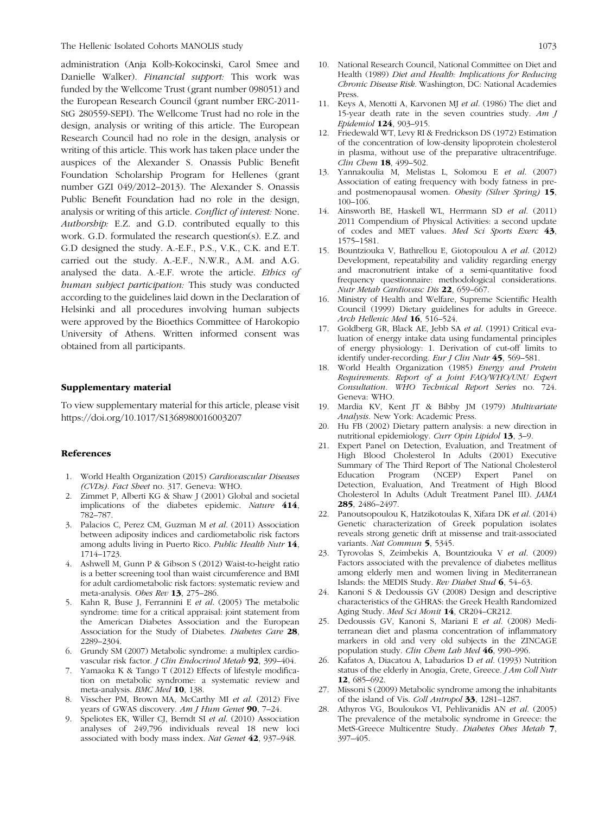<span id="page-10-0"></span>The Hellenic Isolated Cohorts MANOLIS study 1073

administration (Anja Kolb-Kokocinski, Carol Smee and Danielle Walker). Financial support: This work was funded by the Wellcome Trust (grant number 098051) and the European Research Council (grant number ERC-2011- StG 280559-SEPI). The Wellcome Trust had no role in the design, analysis or writing of this article. The European Research Council had no role in the design, analysis or writing of this article. This work has taken place under the auspices of the Alexander S. Onassis Public Benefit Foundation Scholarship Program for Hellenes (grant number GZI 049/2012–2013). The Alexander S. Onassis Public Benefit Foundation had no role in the design, analysis or writing of this article. Conflict of interest: None. Authorship: E.Z. and G.D. contributed equally to this work. G.D. formulated the research question(s). E.Z. and G.D designed the study. A.-E.F., P.S., V.K., C.K. and E.T. carried out the study. A.-E.F., N.W.R., A.M. and A.G. analysed the data. A.-E.F. wrote the article. Ethics of human subject participation: This study was conducted according to the guidelines laid down in the Declaration of Helsinki and all procedures involving human subjects were approved by the Bioethics Committee of Harokopio University of Athens. Written informed consent was obtained from all participants.

## Supplementary material

To view supplementary material for this article, please visit <https://doi.org/10.1017/S1368980016003207>

### References

- 1. World Health Organization (2015) Cardiovascular Diseases (CVDs). Fact Sheet no. 317. Geneva: WHO.
- Zimmet P, Alberti KG & Shaw J (2001) Global and societal implications of the diabetes epidemic. Nature 414, 782–787.
- 3. Palacios C, Perez CM, Guzman M et al. (2011) Association between adiposity indices and cardiometabolic risk factors among adults living in Puerto Rico. Public Health Nutr 14, 1714–1723.
- 4. Ashwell M, Gunn P & Gibson S (2012) Waist-to-height ratio is a better screening tool than waist circumference and BMI for adult cardiometabolic risk factors: systematic review and meta-analysis. Obes Rev 13, 275-286.
- 5. Kahn R, Buse J, Ferrannini E et al. (2005) The metabolic syndrome: time for a critical appraisal: joint statement from the American Diabetes Association and the European Association for the Study of Diabetes. Diabetes Care 28, 2289–2304.
- 6. Grundy SM (2007) Metabolic syndrome: a multiplex cardiovascular risk factor. J Clin Endocrinol Metab 92, 399–404.
- 7. Yamaoka K & Tango T (2012) Effects of lifestyle modification on metabolic syndrome: a systematic review and meta-analysis. BMC Med 10, 138.
- 8. Visscher PM, Brown MA, McCarthy MI et al. (2012) Five years of GWAS discovery. Am J Hum Genet 90, 7-24.
- 9. Speliotes EK, Willer CJ, Berndt SI et al. (2010) Association analyses of 249,796 individuals reveal 18 new loci associated with body mass index. Nat Genet 42, 937–948.
- 10. National Research Council, National Committee on Diet and Health (1989) Diet and Health: Implications for Reducing Chronic Disease Risk. Washington, DC: National Academies Press.
- 11. Keys A, Menotti A, Karvonen MJ et al. (1986) The diet and 15-year death rate in the seven countries study. Am J Epidemiol 124, 903–915.
- 12. Friedewald WT, Levy RI & Fredrickson DS (1972) Estimation of the concentration of low-density lipoprotein cholesterol in plasma, without use of the preparative ultracentrifuge. Clin Chem 18, 499-502.
- 13. Yannakoulia M, Melistas L, Solomou E et al. (2007) Association of eating frequency with body fatness in preand postmenopausal women. Obesity (Silver Spring) 15, 100–106.
- 14. Ainsworth BE, Haskell WL, Herrmann SD et al. (2011) 2011 Compendium of Physical Activities: a second update of codes and MET values. Med Sci Sports Exerc 43, 1575–1581.
- 15. Bountziouka V, Bathrellou E, Giotopoulou A et al. (2012) Development, repeatability and validity regarding energy and macronutrient intake of a semi-quantitative food frequency questionnaire: methodological considerations. Nutr Metab Cardiovasc Dis 22, 659–667.
- 16. Ministry of Health and Welfare, Supreme Scientific Health Council (1999) Dietary guidelines for adults in Greece. Arch Hellenic Med 16, 516-524.
- 17. Goldberg GR, Black AE, Jebb SA et al. (1991) Critical evaluation of energy intake data using fundamental principles of energy physiology: 1. Derivation of cut-off limits to identify under-recording. Eur J Clin Nutr 45, 569-581.
- 18. World Health Organization (1985) Energy and Protein Requirements. Report of a Joint FAO/WHO/UNU Expert Consultation. WHO Technical Report Series no. 724. Geneva: WHO.
- 19. Mardia KV, Kent JT & Bibby JM (1979) Multivariate Analysis. New York: Academic Press.
- 20. Hu FB (2002) Dietary pattern analysis: a new direction in nutritional epidemiology. Curr Opin Lipidol 13, 3–9.
- 21. Expert Panel on Detection, Evaluation, and Treatment of High Blood Cholesterol In Adults (2001) Executive Summary of The Third Report of The National Cholesterol Education Program (NCEP) Expert Panel on Detection, Evaluation, And Treatment of High Blood Cholesterol In Adults (Adult Treatment Panel III). JAMA 285, 2486–2497.
- 22. Panoutsopoulou K, Hatzikotoulas K, Xifara DK et al. (2014) Genetic characterization of Greek population isolates reveals strong genetic drift at missense and trait-associated variants. Nat Commun 5, 5345.
- 23. Tyrovolas S, Zeimbekis A, Bountziouka V et al. (2009) Factors associated with the prevalence of diabetes mellitus among elderly men and women living in Mediterranean Islands: the MEDIS Study. Rev Diabet Stud 6, 54–63.
- 24. Kanoni S & Dedoussis GV (2008) Design and descriptive characteristics of the GHRAS: the Greek Health Randomized Aging Study. Med Sci Monit 14, CR204-CR212.
- 25. Dedoussis GV, Kanoni S, Mariani E et al. (2008) Mediterranean diet and plasma concentration of inflammatory markers in old and very old subjects in the ZINCAGE population study. Clin Chem Lab Med 46, 990-996.
- 26. Kafatos A, Diacatou A, Labadarios D et al. (1993) Nutrition status of the elderly in Anogia, Crete, Greece. J Am Coll Nutr 12, 685–692.
- 27. Missoni S (2009) Metabolic syndrome among the inhabitants of the island of Vis. Coll Antropol 33, 1281–1287.
- 28. Athyros VG, Bouloukos VI, Pehlivanidis AN et al. (2005) The prevalence of the metabolic syndrome in Greece: the MetS-Greece Multicentre Study. Diabetes Obes Metab 7, 397–405.